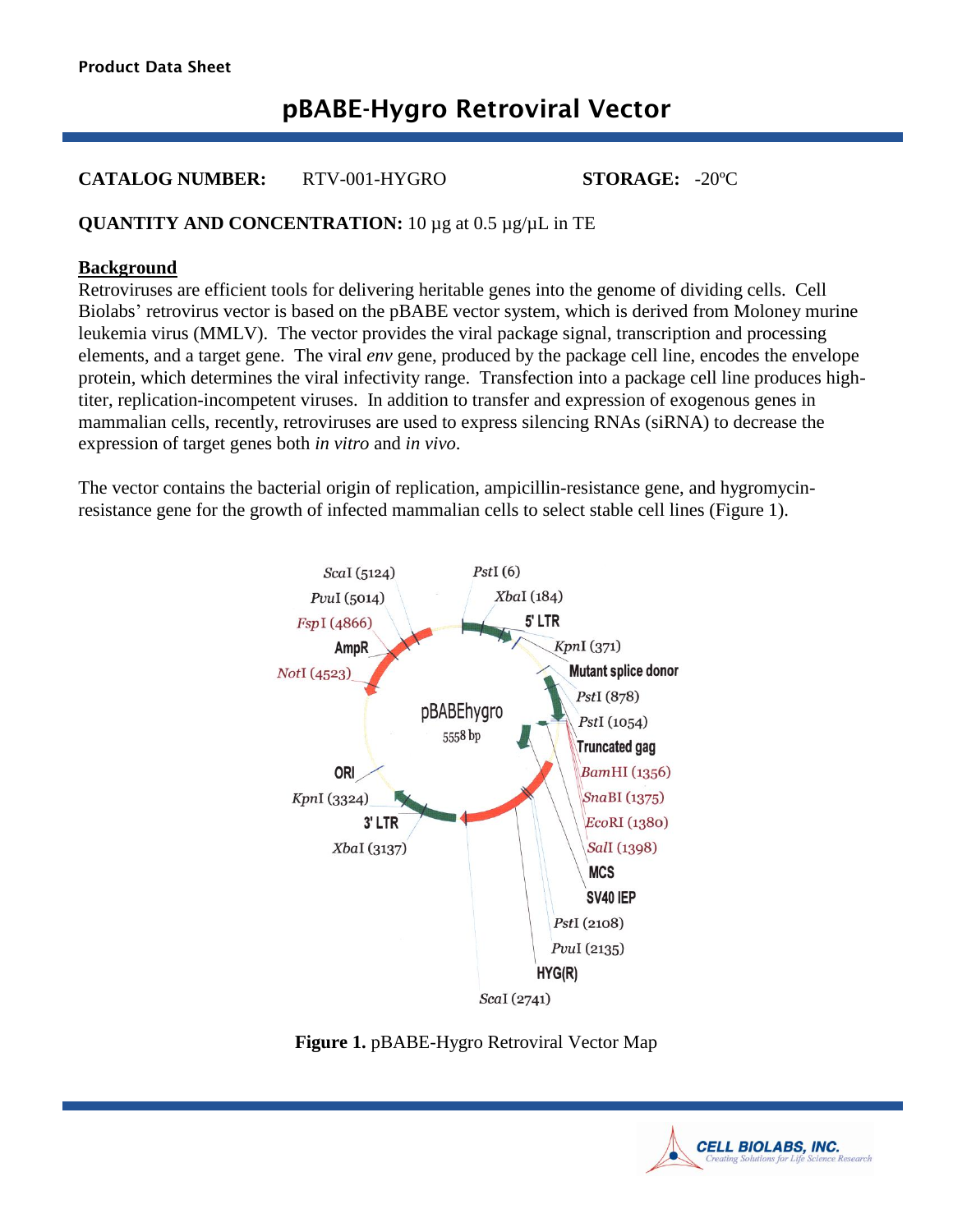# **pBABE-Hygro Retroviral Vector**

# **CATALOG NUMBER:** RTV-001-HYGRO **STORAGE:** -20ºC

# **QUANTITY AND CONCENTRATION:** 10 µg at 0.5 µg/µL in TE

## **Background**

Retroviruses are efficient tools for delivering heritable genes into the genome of dividing cells. Cell Biolabs' retrovirus vector is based on the pBABE vector system, which is derived from Moloney murine leukemia virus (MMLV). The vector provides the viral package signal, transcription and processing elements, and a target gene. The viral *env* gene, produced by the package cell line, encodes the envelope protein, which determines the viral infectivity range. Transfection into a package cell line produces hightiter, replication-incompetent viruses. In addition to transfer and expression of exogenous genes in mammalian cells, recently, retroviruses are used to express silencing RNAs (siRNA) to decrease the expression of target genes both *in vitro* and *in vivo*.

The vector contains the bacterial origin of replication, ampicillin-resistance gene, and hygromycinresistance gene for the growth of infected mammalian cells to select stable cell lines (Figure 1).



**Figure 1.** pBABE-Hygro Retroviral Vector Map